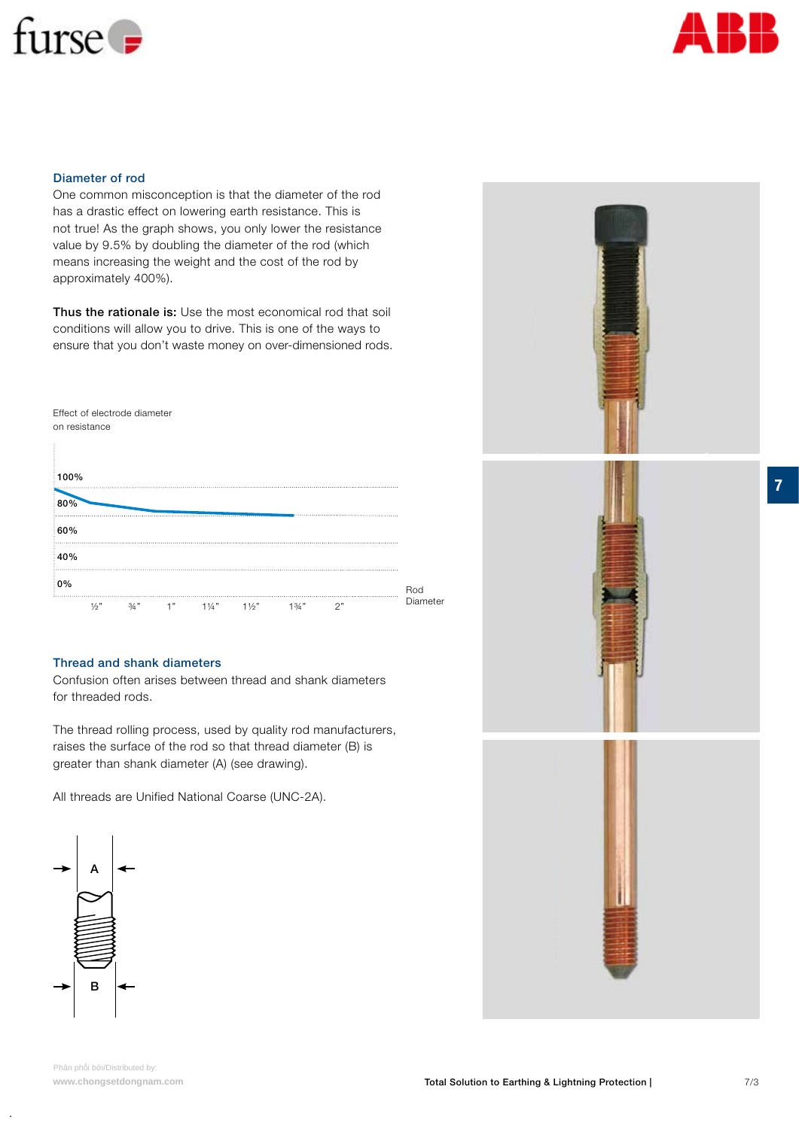



#### Diameter of rod

One common misconception is that the diameter of the rod has a drastic effect on lowering earth resistance. This is not true! As the graph shows, you only lower the resistance value by 9.5% by doubling the diameter of the rod (which means increasing the weight and the cost of the rod by approximately 400%).

Thus the rationale is: Use the most economical rod that soil conditions will allow you to drive. This is one of the ways to ensure that you don't waste money on over-dimensioned rods.



## Thread and shank diameters

Confusion often arises between thread and shank diameters for threaded rods.

The thread rolling process, used by quality rod manufacturers, raises the surface of the rod so that thread diameter (B) is greater than shank diameter (A) (see drawing).

All threads are Unified National Coarse (UNC-2A).





**.**